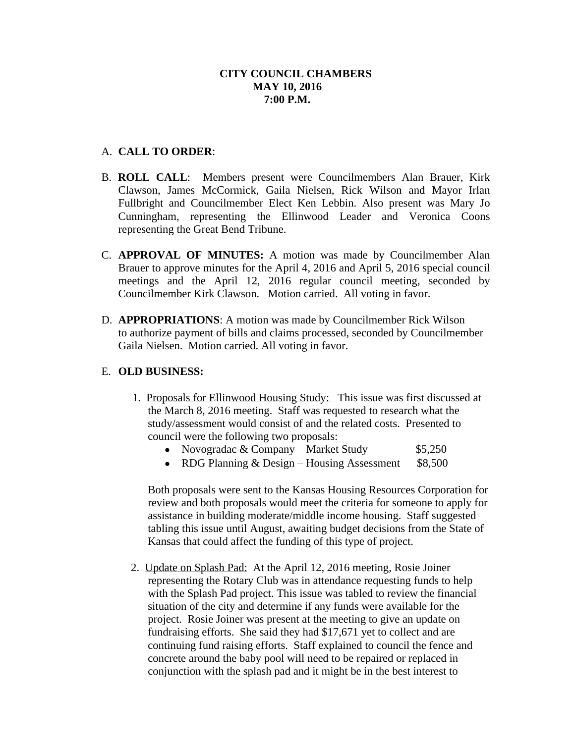### A. **CALL TO ORDER**:

- B. **ROLL CALL**: Members present were Councilmembers Alan Brauer, Kirk Clawson, James McCormick, Gaila Nielsen, Rick Wilson and Mayor Irlan Fullbright and Councilmember Elect Ken Lebbin. Also present was Mary Jo Cunningham, representing the Ellinwood Leader and Veronica Coons representing the Great Bend Tribune.
- C. **APPROVAL OF MINUTES:** A motion was made by Councilmember Alan Brauer to approve minutes for the April 4, 2016 and April 5, 2016 special council meetings and the April 12, 2016 regular council meeting, seconded by Councilmember Kirk Clawson. Motion carried. All voting in favor.
- D. **APPROPRIATIONS**: A motion was made by Councilmember Rick Wilson to authorize payment of bills and claims processed, seconded by Councilmember Gaila Nielsen. Motion carried. All voting in favor.

#### E. **OLD BUSINESS:**

- 1. Proposals for Ellinwood Housing Study: This issue was first discussed at the March 8, 2016 meeting. Staff was requested to research what the study/assessment would consist of and the related costs. Presented to council were the following two proposals:
	- Novogradac & Company Market Study \$5,250
	- RDG Planning & Design Housing Assessment \$8,500

Both proposals were sent to the Kansas Housing Resources Corporation for review and both proposals would meet the criteria for someone to apply for assistance in building moderate/middle income housing. Staff suggested tabling this issue until August, awaiting budget decisions from the State of Kansas that could affect the funding of this type of project.

2. Update on Splash Pad: At the April 12, 2016 meeting, Rosie Joiner representing the Rotary Club was in attendance requesting funds to help with the Splash Pad project. This issue was tabled to review the financial situation of the city and determine if any funds were available for the project. Rosie Joiner was present at the meeting to give an update on fundraising efforts. She said they had \$17,671 yet to collect and are continuing fund raising efforts. Staff explained to council the fence and concrete around the baby pool will need to be repaired or replaced in conjunction with the splash pad and it might be in the best interest to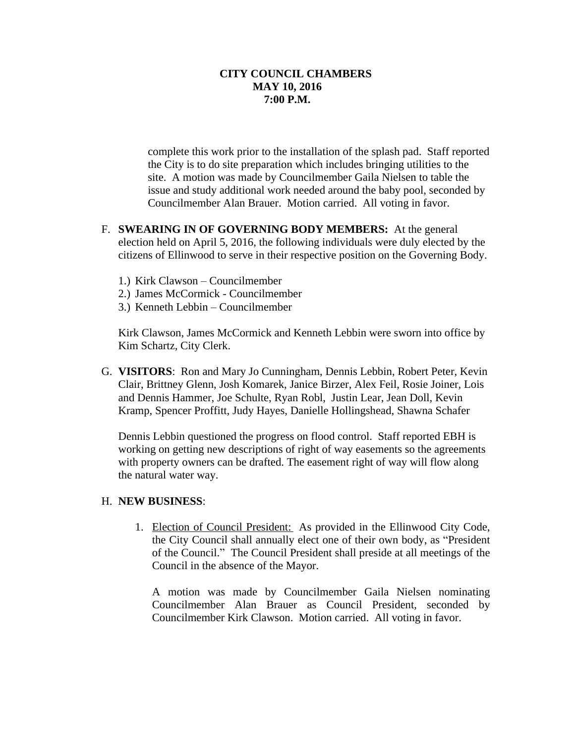complete this work prior to the installation of the splash pad. Staff reported the City is to do site preparation which includes bringing utilities to the site. A motion was made by Councilmember Gaila Nielsen to table the issue and study additional work needed around the baby pool, seconded by Councilmember Alan Brauer. Motion carried. All voting in favor.

- F. **SWEARING IN OF GOVERNING BODY MEMBERS:** At the general election held on April 5, 2016, the following individuals were duly elected by the citizens of Ellinwood to serve in their respective position on the Governing Body.
	- 1.) Kirk Clawson Councilmember
	- 2.) James McCormick Councilmember
	- 3.) Kenneth Lebbin Councilmember

Kirk Clawson, James McCormick and Kenneth Lebbin were sworn into office by Kim Schartz, City Clerk.

G. **VISITORS**: Ron and Mary Jo Cunningham, Dennis Lebbin, Robert Peter, Kevin Clair, Brittney Glenn, Josh Komarek, Janice Birzer, Alex Feil, Rosie Joiner, Lois and Dennis Hammer, Joe Schulte, Ryan Robl, Justin Lear, Jean Doll, Kevin Kramp, Spencer Proffitt, Judy Hayes, Danielle Hollingshead, Shawna Schafer

Dennis Lebbin questioned the progress on flood control. Staff reported EBH is working on getting new descriptions of right of way easements so the agreements with property owners can be drafted. The easement right of way will flow along the natural water way.

#### H. **NEW BUSINESS**:

1. Election of Council President: As provided in the Ellinwood City Code, the City Council shall annually elect one of their own body, as "President of the Council." The Council President shall preside at all meetings of the Council in the absence of the Mayor.

A motion was made by Councilmember Gaila Nielsen nominating Councilmember Alan Brauer as Council President, seconded by Councilmember Kirk Clawson. Motion carried. All voting in favor.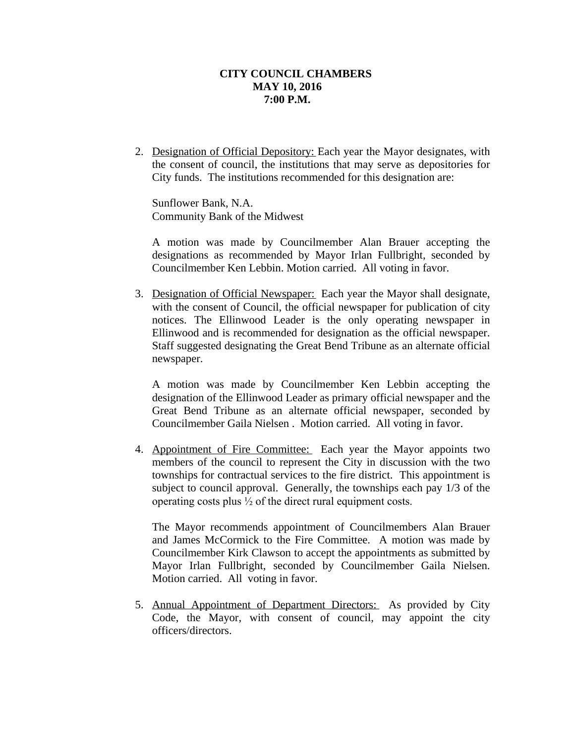2. Designation of Official Depository: Each year the Mayor designates, with the consent of council, the institutions that may serve as depositories for City funds. The institutions recommended for this designation are:

Sunflower Bank, N.A. Community Bank of the Midwest

A motion was made by Councilmember Alan Brauer accepting the designations as recommended by Mayor Irlan Fullbright, seconded by Councilmember Ken Lebbin. Motion carried. All voting in favor.

3. Designation of Official Newspaper: Each year the Mayor shall designate, with the consent of Council, the official newspaper for publication of city notices. The Ellinwood Leader is the only operating newspaper in Ellinwood and is recommended for designation as the official newspaper. Staff suggested designating the Great Bend Tribune as an alternate official newspaper.

A motion was made by Councilmember Ken Lebbin accepting the designation of the Ellinwood Leader as primary official newspaper and the Great Bend Tribune as an alternate official newspaper, seconded by Councilmember Gaila Nielsen . Motion carried. All voting in favor.

4. Appointment of Fire Committee: Each year the Mayor appoints two members of the council to represent the City in discussion with the two townships for contractual services to the fire district. This appointment is subject to council approval. Generally, the townships each pay 1/3 of the operating costs plus ½ of the direct rural equipment costs.

The Mayor recommends appointment of Councilmembers Alan Brauer and James McCormick to the Fire Committee. A motion was made by Councilmember Kirk Clawson to accept the appointments as submitted by Mayor Irlan Fullbright, seconded by Councilmember Gaila Nielsen. Motion carried. All voting in favor.

5. Annual Appointment of Department Directors: As provided by City Code, the Mayor, with consent of council, may appoint the city officers/directors.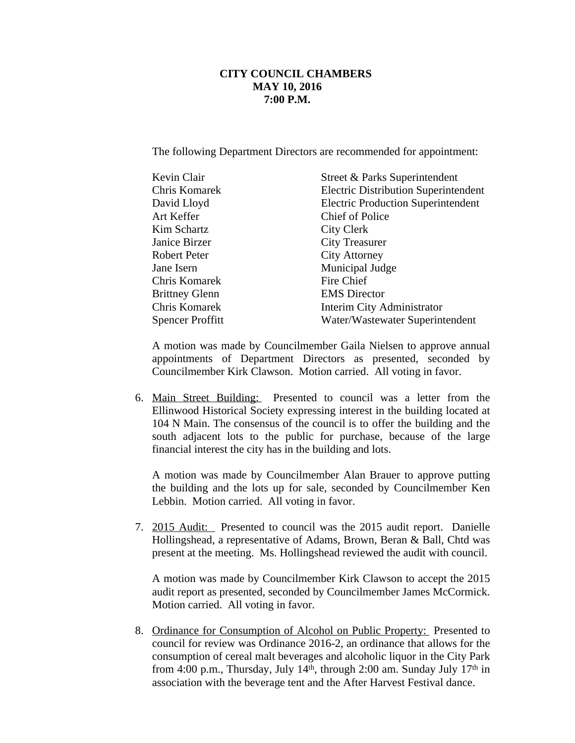The following Department Directors are recommended for appointment:

| Kevin Clair           | Street & Parks Superintendent               |
|-----------------------|---------------------------------------------|
| Chris Komarek         | <b>Electric Distribution Superintendent</b> |
| David Lloyd           | <b>Electric Production Superintendent</b>   |
| Art Keffer            | Chief of Police                             |
| Kim Schartz           | City Clerk                                  |
| Janice Birzer         | <b>City Treasurer</b>                       |
| Robert Peter          | <b>City Attorney</b>                        |
| Jane Isern            | Municipal Judge                             |
| Chris Komarek         | Fire Chief                                  |
| <b>Brittney Glenn</b> | <b>EMS</b> Director                         |
| Chris Komarek         | Interim City Administrator                  |
| Spencer Proffitt      | Water/Wastewater Superintendent             |
|                       |                                             |

A motion was made by Councilmember Gaila Nielsen to approve annual appointments of Department Directors as presented, seconded by Councilmember Kirk Clawson. Motion carried. All voting in favor.

6. Main Street Building: Presented to council was a letter from the Ellinwood Historical Society expressing interest in the building located at 104 N Main. The consensus of the council is to offer the building and the south adjacent lots to the public for purchase, because of the large financial interest the city has in the building and lots.

A motion was made by Councilmember Alan Brauer to approve putting the building and the lots up for sale, seconded by Councilmember Ken Lebbin. Motion carried. All voting in favor.

7. 2015 Audit: Presented to council was the 2015 audit report. Danielle Hollingshead, a representative of Adams, Brown, Beran & Ball, Chtd was present at the meeting. Ms. Hollingshead reviewed the audit with council.

A motion was made by Councilmember Kirk Clawson to accept the 2015 audit report as presented, seconded by Councilmember James McCormick. Motion carried. All voting in favor.

8. Ordinance for Consumption of Alcohol on Public Property: Presented to council for review was Ordinance 2016-2, an ordinance that allows for the consumption of cereal malt beverages and alcoholic liquor in the City Park from 4:00 p.m., Thursday, July 14<sup>th</sup>, through 2:00 am. Sunday July 17<sup>th</sup> in association with the beverage tent and the After Harvest Festival dance.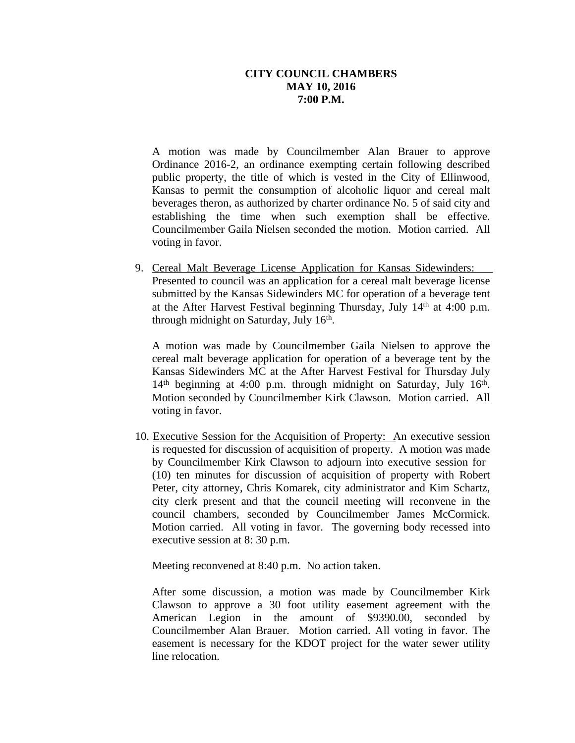A motion was made by Councilmember Alan Brauer to approve Ordinance 2016-2, an ordinance exempting certain following described public property, the title of which is vested in the City of Ellinwood, Kansas to permit the consumption of alcoholic liquor and cereal malt beverages theron, as authorized by charter ordinance No. 5 of said city and establishing the time when such exemption shall be effective. Councilmember Gaila Nielsen seconded the motion. Motion carried. All voting in favor.

9. Cereal Malt Beverage License Application for Kansas Sidewinders: Presented to council was an application for a cereal malt beverage license submitted by the Kansas Sidewinders MC for operation of a beverage tent at the After Harvest Festival beginning Thursday, July 14th at 4:00 p.m. through midnight on Saturday, July 16<sup>th</sup>.

A motion was made by Councilmember Gaila Nielsen to approve the cereal malt beverage application for operation of a beverage tent by the Kansas Sidewinders MC at the After Harvest Festival for Thursday July 14<sup>th</sup> beginning at 4:00 p.m. through midnight on Saturday, July 16<sup>th</sup>. Motion seconded by Councilmember Kirk Clawson. Motion carried. All voting in favor.

10. Executive Session for the Acquisition of Property: An executive session is requested for discussion of acquisition of property. A motion was made by Councilmember Kirk Clawson to adjourn into executive session for (10) ten minutes for discussion of acquisition of property with Robert Peter, city attorney, Chris Komarek, city administrator and Kim Schartz, city clerk present and that the council meeting will reconvene in the council chambers, seconded by Councilmember James McCormick. Motion carried. All voting in favor. The governing body recessed into executive session at 8: 30 p.m.

Meeting reconvened at 8:40 p.m. No action taken.

After some discussion, a motion was made by Councilmember Kirk Clawson to approve a 30 foot utility easement agreement with the American Legion in the amount of \$9390.00, seconded by Councilmember Alan Brauer. Motion carried. All voting in favor. The easement is necessary for the KDOT project for the water sewer utility line relocation.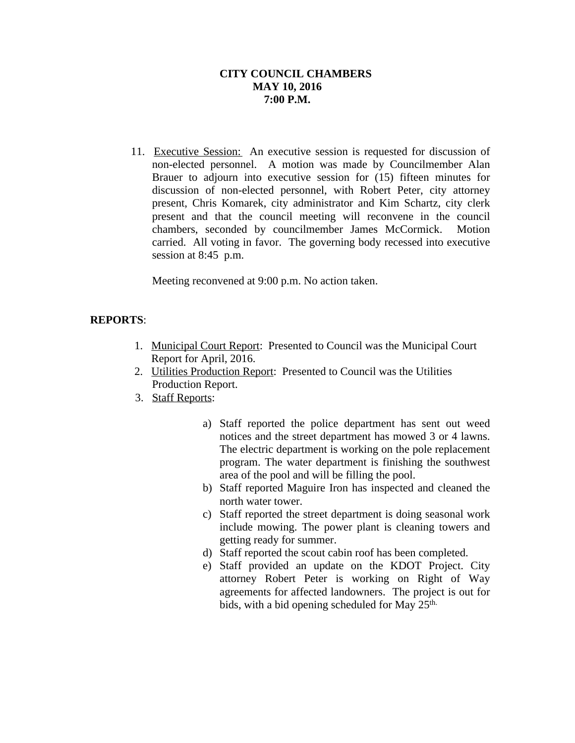11. Executive Session: An executive session is requested for discussion of non-elected personnel. A motion was made by Councilmember Alan Brauer to adjourn into executive session for (15) fifteen minutes for discussion of non-elected personnel, with Robert Peter, city attorney present, Chris Komarek, city administrator and Kim Schartz, city clerk present and that the council meeting will reconvene in the council chambers, seconded by councilmember James McCormick. Motion carried. All voting in favor. The governing body recessed into executive session at 8:45 p.m.

Meeting reconvened at 9:00 p.m. No action taken.

# **REPORTS**:

- 1. Municipal Court Report: Presented to Council was the Municipal Court Report for April, 2016.
- 2. Utilities Production Report: Presented to Council was the Utilities Production Report.
- 3. Staff Reports:
	- a) Staff reported the police department has sent out weed notices and the street department has mowed 3 or 4 lawns. The electric department is working on the pole replacement program. The water department is finishing the southwest area of the pool and will be filling the pool.
	- b) Staff reported Maguire Iron has inspected and cleaned the north water tower.
	- c) Staff reported the street department is doing seasonal work include mowing. The power plant is cleaning towers and getting ready for summer.
	- d) Staff reported the scout cabin roof has been completed.
	- e) Staff provided an update on the KDOT Project. City attorney Robert Peter is working on Right of Way agreements for affected landowners. The project is out for bids, with a bid opening scheduled for May 25<sup>th.</sup>